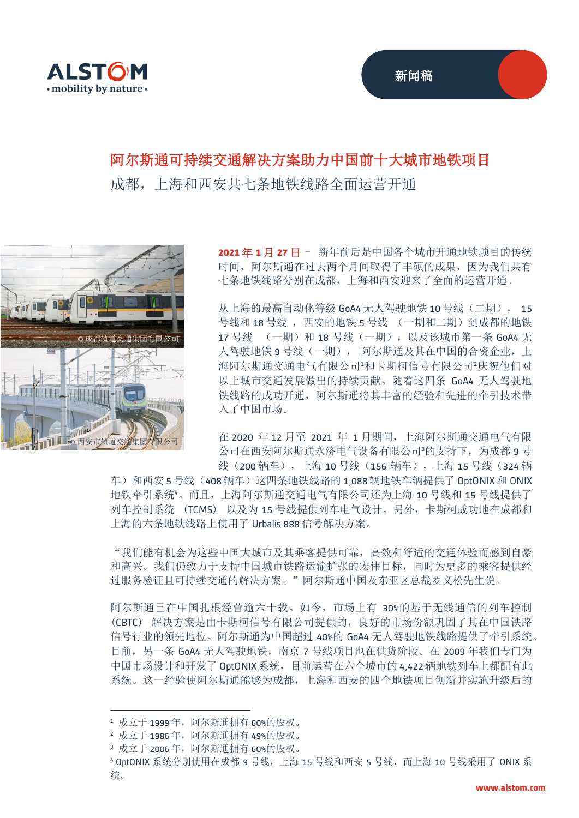

## 阿尔斯通可持续交通解决方案助力中国前十大城市地铁项目

成都,上海和西安共七条地铁线路全面运营开通



**2021** 年 **1** 月 **27** 日 - 新年前后是中国各个城市开通地铁项目的传统 时间,阿尔斯通在过去两个月间取得了丰硕的成果,因为我们共有 七条地铁线路分别在成都,上海和西安迎来了全面的运营开通。

从上海的最高自动化等级 GoA4 无人驾驶地铁 10 号线 (二期), 15 号线和 18 号线 , 西安的地铁 5 号线 (一期和二期) 到成都的地铁 17 号线 (一期)和 18 号线(一期), 以及该城市第一条 GoA4 无 人驾驶地铁 9 号线(一期), 阿尔斯通及其在中国的合资企业, 上 海阿尔斯通交通电气有限公司20年的平均和卡斯柯信号有限公司。庆祝他们对 以上城市交通发展做出的持续贡献。随着这四条 GoA4 无人驾驶地 铁线路的成功开通,阿尔斯通将其丰富的经验和先进的牵引技术带 入了中国市场。

在 2020 年 12 月至 2021 年 1 月期间,上海阿尔斯通交通电气有限 公司在西安阿尔斯通永济电气设备有限公司3的支持下,为成都 9号 线(200 辆车), 上海 10 号线(156 辆车), 上海 15 号线(324 辆

车)和西安 5 号线 (408 辆车)这四条地铁线路的 1,088 辆地铁车辆提供了 OptONIX 和 ONIX 地铁牵引系统<sup>4</sup>。而且,上海阿尔斯通交通电气有限公司还为上海 10 号线和 15 号线提供了 列车控制系统 (TCMS) 以及为 15 号线提供列车电气设计。另外,卡斯柯成功地在成都和 上海的六条地铁线路上使用了 Urbalis 888 信号解决方案。

"我们能有机会为这些中国大城市及其乘客提供可靠,高效和舒适的交通体验而感到自豪 和高兴。我们仍致力于支持中国城市铁路运输扩张的宏伟目标,同时为更多的乘客提供经 过服务验证且可持续交通的解决方案。"阿尔斯通中国及东亚区总裁罗义松先生说。

阿尔斯通已在中国扎根经营逾六十载。如今,市场上有 30%的基于无线通信的列车控制 (CBTC) 解决方案是由卡斯柯信号有限公司提供的,良好的市场份额巩固了其在中国铁路 信号行业的领先地位。阿尔斯通为中国超过 40%的 GoA4 无人驾驶地铁线路提供了牵引系统。 目前, 另一条 GoA4 无人驾驶地铁, 南京 7 号线项目也在供货阶段。在 2009 年我们专门为 中国市场设计和开发了 OptONIX 系统,目前运营在六个城市的 4,422 辆地铁列车上都配有此 系统。这一经验使阿尔斯通能够为成都,上海和西安的四个地铁项目创新并实施升级后的

<sup>1</sup> 成立于 1999 年,阿尔斯通拥有 60%的股权。

<sup>2</sup> 成立于 1986 年,阿尔斯通拥有 49%的股权。

<sup>3</sup> 成立于 2006 年,阿尔斯通拥有 60%的股权。

<sup>4</sup> OptONIX 系统分别使用在成都 9 号线,上海 15 号线和西安 5 号线,而上海 10 号线采用了 ONIX 系 统。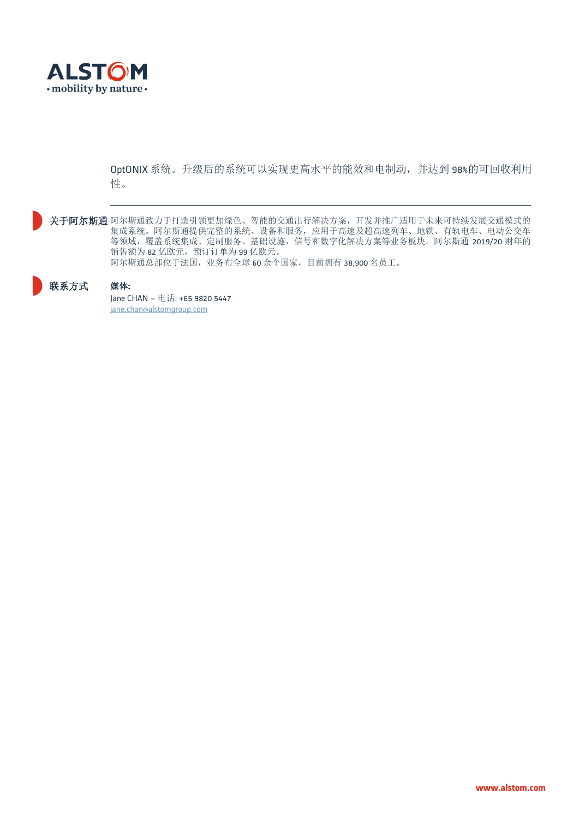

OptONIX 系统。升级后的系统可以实现更高水平的能效和电制动,并达到 98%的可回收利用 性。

关于阿尔斯通 阿尔斯通致力于打造引领更加绿色、智能的交通出行解决方案,开发并推广适用于未来可持续发展交通模式的 集成系统。阿尔斯通提供完整的系统、设备和服务,应用于高速及超高速列车、地铁、有轨电车、电动公交车 等领域,覆盖系统集成、定制服务、基础设施,信号和数字化解决方案等业务板块。阿尔斯通 2019/20 财年的 销售额为 82 亿欧元, 预订订单为 99 亿欧元。 阿尔斯通总部位于法国,业务布全球 60 余个国家,目前拥有 38,900 名员工。

## 联系方式 媒体**:**

Jane CHAN – 电话: +65 9820 5447 [jane.chan@alstomgroup.com](mailto:jane.chan@alstomgroup.com)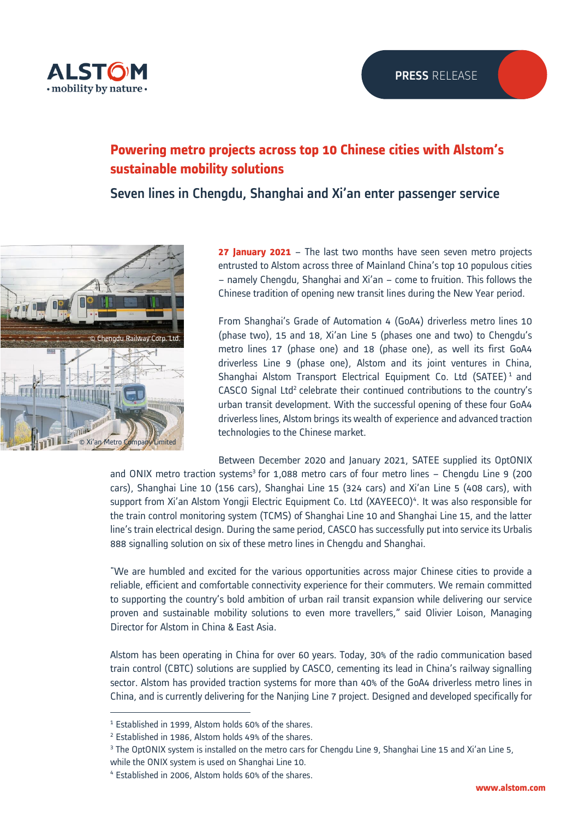

## **Powering metro projects across top 10 Chinese cities with Alstom's sustainable mobility solutions**

Seven lines in Chengdu, Shanghai and Xi'an enter passenger service



**27 January 2021** – The last two months have seen seven metro projects entrusted to Alstom across three of Mainland China's top 10 populous cities – namely Chengdu, Shanghai and Xi'an – come to fruition. This follows the Chinese tradition of opening new transit lines during the New Year period.

From Shanghai's Grade of Automation 4 (GoA4) driverless metro lines 10 (phase two), 15 and 18, Xi'an Line 5 (phases one and two) to Chengdu's metro lines 17 (phase one) and 18 (phase one), as well its first GoA4 driverless Line 9 (phase one), Alstom and its joint ventures in China, Shanghai Alstom Transport Electrical Equipment Co. Ltd (SATEE)<sup>1</sup> and CASCO Signal Ltd<sup>2</sup> celebrate their continued contributions to the country's urban transit development. With the successful opening of these four GoA4 driverless lines, Alstom brings its wealth of experience and advanced traction technologies to the Chinese market.

Between December 2020 and January 2021, SATEE supplied its OptONIX and ONIX metro traction systems<sup>3</sup> for 1,088 metro cars of four metro lines - Chengdu Line 9 (200 cars), Shanghai Line 10 (156 cars), Shanghai Line 15 (324 cars) and Xi'an Line 5 (408 cars), with support from Xi'an Alstom Yongji Electric Equipment Co. Ltd (XAYEECO)<sup>4</sup>. It was also responsible for the train control monitoring system (TCMS) of Shanghai Line 10 and Shanghai Line 15, and the latter line's train electrical design. During the same period, CASCO has successfully put into service its Urbalis 888 signalling solution on six of these metro lines in Chengdu and Shanghai.

"We are humbled and excited for the various opportunities across major Chinese cities to provide a reliable, efficient and comfortable connectivity experience for their commuters. We remain committed to supporting the country's bold ambition of urban rail transit expansion while delivering our service proven and sustainable mobility solutions to even more travellers," said Olivier Loison, Managing Director for Alstom in China & East Asia.

Alstom has been operating in China for over 60 years. Today, 30% of the radio communication based train control (CBTC) solutions are supplied by CASCO, cementing its lead in China's railway signalling sector. Alstom has provided traction systems for more than 40% of the GoA4 driverless metro lines in China, and is currently delivering for the Nanjing Line 7 project. Designed and developed specifically for

<sup>1</sup> Established in 1999, Alstom holds 60% of the shares.

<sup>2</sup> Established in 1986, Alstom holds 49% of the shares.

<sup>&</sup>lt;sup>3</sup> The OptONIX system is installed on the metro cars for Chengdu Line 9, Shanghai Line 15 and Xi'an Line 5, while the ONIX system is used on Shanghai Line 10.

<sup>4</sup> Established in 2006, Alstom holds 60% of the shares.